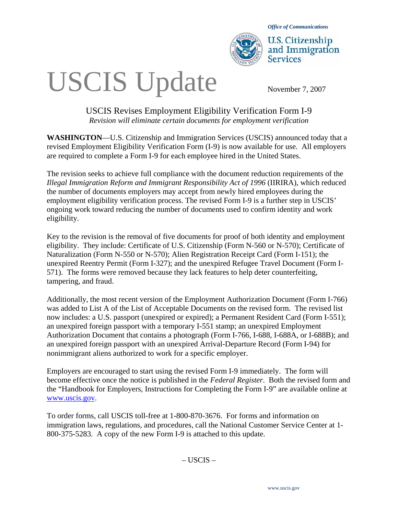

*Office of Communications* 

**U.S. Citizenship** and Immigration **Services** 

# USCIS Update November 7, 2007

# USCIS Revises Employment Eligibility Verification Form I-9 *Revision will eliminate certain documents for employment verification*

**WASHINGTON**—U.S. Citizenship and Immigration Services (USCIS) announced today that a revised Employment Eligibility Verification Form (I-9) is now available for use. All employers are required to complete a Form I-9 for each employee hired in the United States.

The revision seeks to achieve full compliance with the document reduction requirements of the *Illegal Immigration Reform and Immigrant Responsibility Act of 1996* (IIRIRA), which reduced the number of documents employers may accept from newly hired employees during the employment eligibility verification process. The revised Form I-9 is a further step in USCIS' ongoing work toward reducing the number of documents used to confirm identity and work eligibility.

Key to the revision is the removal of five documents for proof of both identity and employment eligibility. They include: Certificate of U.S. Citizenship (Form N-560 or N-570); Certificate of Naturalization (Form N-550 or N-570); Alien Registration Receipt Card (Form I-151); the unexpired Reentry Permit (Form I-327); and the unexpired Refugee Travel Document (Form I-571). The forms were removed because they lack features to help deter counterfeiting, tampering, and fraud.

Additionally, the most recent version of the Employment Authorization Document (Form I-766) was added to List A of the List of Acceptable Documents on the revised form. The revised list now includes: a U.S. passport (unexpired or expired); a Permanent Resident Card (Form I-551); an unexpired foreign passport with a temporary I-551 stamp; an unexpired Employment Authorization Document that contains a photograph (Form I-766, I-688, I-688A, or I-688B); and an unexpired foreign passport with an unexpired Arrival-Departure Record (Form I-94) for nonimmigrant aliens authorized to work for a specific employer.

Employers are encouraged to start using the revised Form I-9 immediately. The form will become effective once the notice is published in the *Federal Register*. Both the revised form and the "Handbook for Employers, Instructions for Completing the Form I-9" are available online at www.uscis.gov.

To order forms, call USCIS toll-free at 1-800-870-3676. For forms and information on immigration laws, regulations, and procedures, call the National Customer Service Center at 1- 800-375-5283. A copy of the new Form I-9 is attached to this update.

– USCIS –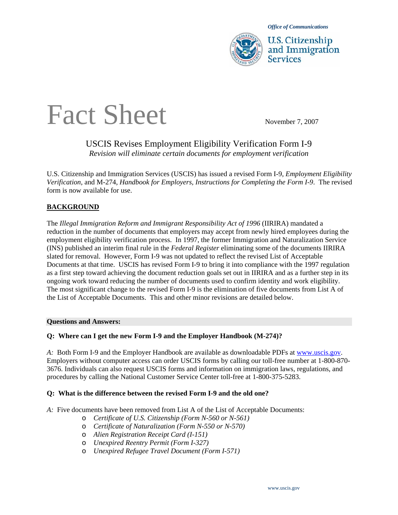

U.S. Citizenship and Immigration

# Fact Sheet November 7, 2007

## USCIS Revises Employment Eligibility Verification Form I-9 *Revision will eliminate certain documents for employment verification*

U.S. Citizenship and Immigration Services (USCIS) has issued a revised Form I-9, *Employment Eligibility Verification*, and M-274, *Handbook for Employers, Instructions for Completing the Form I-9*. The revised form is now available for use.

### **BACKGROUND**

The *Illegal Immigration Reform and Immigrant Responsibility Act of 1996* (IIRIRA) mandated a reduction in the number of documents that employers may accept from newly hired employees during the employment eligibility verification process. In 1997, the former Immigration and Naturalization Service (INS) published an interim final rule in the *Federal Register* eliminating some of the documents IIRIRA slated for removal. However, Form I-9 was not updated to reflect the revised List of Acceptable Documents at that time. USCIS has revised Form I-9 to bring it into compliance with the 1997 regulation as a first step toward achieving the document reduction goals set out in IIRIRA and as a further step in its ongoing work toward reducing the number of documents used to confirm identity and work eligibility. The most significant change to the revised Form I-9 is the elimination of five documents from List A of the List of Acceptable Documents. This and other minor revisions are detailed below.

#### **Questions and Answers:**

#### **Q: Where can I get the new Form I-9 and the Employer Handbook (M-274)?**

*A:* Both Form I-9 and the Employer Handbook are available as downloadable PDFs at www.uscis.gov. Employers without computer access can order USCIS forms by calling our toll-free number at 1-800-870- 3676. Individuals can also request USCIS forms and information on immigration laws, regulations, and procedures by calling the National Customer Service Center toll-free at 1-800-375-5283.

#### **Q: What is the difference between the revised Form I-9 and the old one?**

*A:* Five documents have been removed from List A of the List of Acceptable Documents:

- o *Certificate of U.S. Citizenship (Form N-560 or N-561)*
- o *Certificate of Naturalization (Form N-550 or N-570)*
- o *Alien Registration Receipt Card (I-151)*
- o *Unexpired Reentry Permit (Form I-327)*
- o *Unexpired Refugee Travel Document (Form I-571)*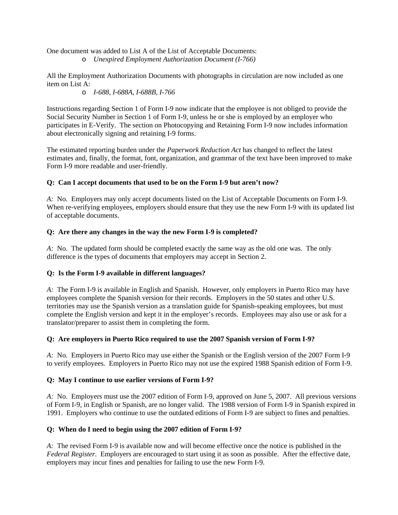One document was added to List A of the List of Acceptable Documents: o *Unexpired Employment Authorization Document (I-766)* 

All the Employment Authorization Documents with photographs in circulation are now included as one item on List A:

o *I-688, I-688A, I-688B, I-766* 

Instructions regarding Section 1 of Form I-9 now indicate that the employee is not obliged to provide the Social Security Number in Section 1 of Form I-9, unless he or she is employed by an employer who participates in E-Verify. The section on Photocopying and Retaining Form I-9 now includes information about electronically signing and retaining I-9 forms.

The estimated reporting burden under the *Paperwork Reduction Act* has changed to reflect the latest estimates and, finally, the format, font, organization, and grammar of the text have been improved to make Form I-9 more readable and user-friendly.

### **Q: Can I accept documents that used to be on the Form I-9 but aren't now?**

*A:* No. Employers may only accept documents listed on the List of Acceptable Documents on Form I-9. When re-verifying employees, employers should ensure that they use the new Form I-9 with its updated list of acceptable documents.

#### **Q: Are there any changes in the way the new Form I-9 is completed?**

*A:* No. The updated form should be completed exactly the same way as the old one was. The only difference is the types of documents that employers may accept in Section 2.

#### **Q: Is the Form I-9 available in different languages?**

*A:* The Form I-9 is available in English and Spanish. However, only employers in Puerto Rico may have employees complete the Spanish version for their records. Employers in the 50 states and other U.S. territories may use the Spanish version as a translation guide for Spanish-speaking employees, but must complete the English version and kept it in the employer's records. Employees may also use or ask for a translator/preparer to assist them in completing the form.

#### **Q: Are employers in Puerto Rico required to use the 2007 Spanish version of Form I-9?**

*A:* No. Employers in Puerto Rico may use either the Spanish or the English version of the 2007 Form I-9 to verify employees. Employers in Puerto Rico may not use the expired 1988 Spanish edition of Form I-9.

#### **Q: May I continue to use earlier versions of Form I-9?**

*A:* No. Employers must use the 2007 edition of Form I-9, approved on June 5, 2007. All previous versions of Form I-9, in English or Spanish, are no longer valid. The 1988 version of Form I-9 in Spanish expired in 1991. Employers who continue to use the outdated editions of Form I-9 are subject to fines and penalties.

#### **Q: When do I need to begin using the 2007 edition of Form I-9?**

*A:* The revised Form I-9 is available now and will become effective once the notice is published in the *Federal Register*. Employers are encouraged to start using it as soon as possible. After the effective date, employers may incur fines and penalties for failing to use the new Form I-9.